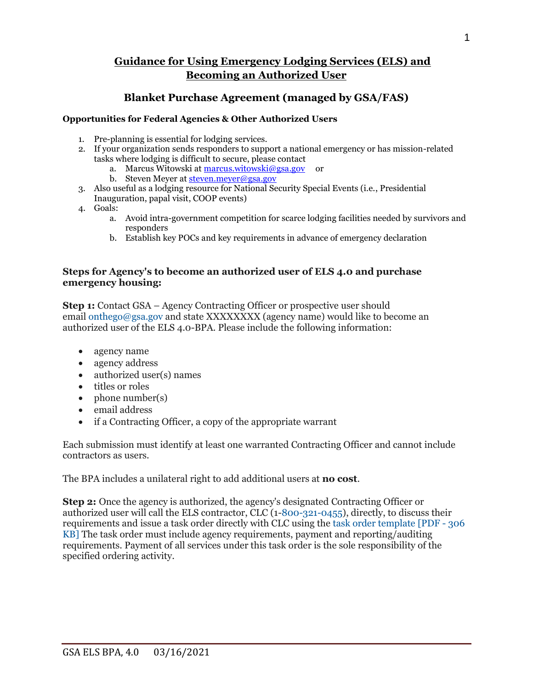# **Guidance for Using Emergency Lodging Services (ELS) and Becoming an Authorized User**

# **Blanket Purchase Agreement (managed by GSA/FAS)**

### **Opportunities for Federal Agencies & Other Authorized Users**

- 1. Pre-planning is essential for lodging services.
- 2. If your organization sends responders to support a national emergency or has mission-related tasks where lodging is difficult to secure, please contact
	- a. Marcus Witowski at [marcus.witowski@gsa.gov](mailto:marcus.witowski@gsa.gov) or
	- b. Steven Meyer at [steven.meyer@gsa.gov](mailto:steven.meyer@gsa.gov)
- 3. Also useful as a lodging resource for National Security Special Events (i.e., Presidential Inauguration, papal visit, COOP events)
- 4. Goals:
	- a. Avoid intra-government competition for scarce lodging facilities needed by survivors and responders
	- b. Establish key POCs and key requirements in advance of emergency declaration

### **Steps for Agency's to become an authorized user of ELS 4.0 and purchase emergency housing:**

**Step 1:** Contact GSA – Agency Contracting Officer or prospective user should email [onthego@gsa.gov](mailto:onthego@gsa.gov) and state XXXXXXXX (agency name) would like to become an authorized user of the ELS 4.0-BPA. Please include the following information:

- agency name
- agency address
- authorized user(s) names
- titles or roles
- phone number(s)
- email address
- if a Contracting Officer, a copy of the appropriate warrant

Each submission must identify at least one warranted Contracting Officer and cannot include contractors as users.

The BPA includes a unilateral right to add additional users at **no cost**.

**Step 2:** Once the agency is authorized, the agency's designated Contracting Officer or authorized user will call the ELS contractor, CLC (1[-800-321-0455\)](tel:8003210455), directly, to discuss their requirements and issue a task order directly with CLC using the [task order template](https://www.gsa.gov/cdnstatic/Travel_Vehicle_Card_Services/GSA%20ELS%20Ordering%20InstructionsTemplate.pdf) [PDF - 306 [KB\]](https://www.gsa.gov/cdnstatic/Travel_Vehicle_Card_Services/GSA%20ELS%20Ordering%20InstructionsTemplate.pdf) The task order must include agency requirements, payment and reporting/auditing requirements. Payment of all services under this task order is the sole responsibility of the specified ordering activity.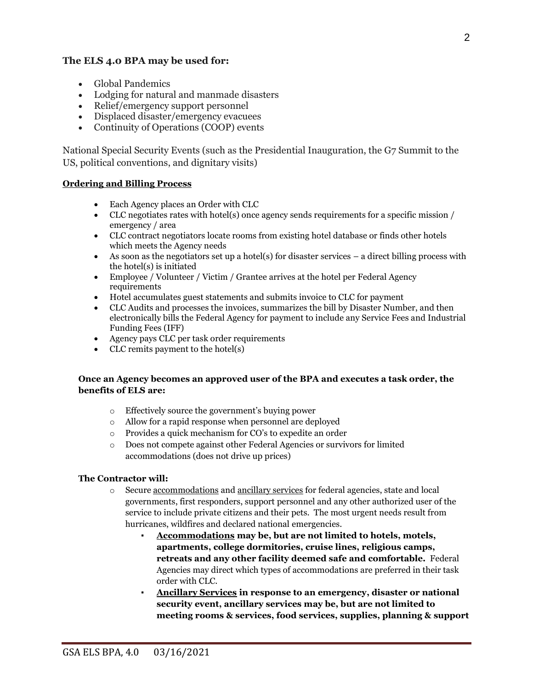## **The ELS 4.0 BPA may be used for:**

- Global Pandemics
- Lodging for natural and manmade disasters
- Relief/emergency support personnel
- Displaced disaster/emergency evacuees
- Continuity of Operations (COOP) events

National Special Security Events (such as the Presidential Inauguration, the G7 Summit to the US, political conventions, and dignitary visits)

#### **Ordering and Billing Process**

- Each Agency places an Order with CLC
- CLC negotiates rates with hotel(s) once agency sends requirements for a specific mission / emergency / area
- CLC contract negotiators locate rooms from existing hotel database or finds other hotels which meets the Agency needs
- As soon as the negotiators set up a hotel(s) for disaster services  $-$  a direct billing process with the hotel(s) is initiated
- Employee / Volunteer / Victim / Grantee arrives at the hotel per Federal Agency requirements
- Hotel accumulates guest statements and submits invoice to CLC for payment
- CLC Audits and processes the invoices, summarizes the bill by Disaster Number, and then electronically bills the Federal Agency for payment to include any Service Fees and Industrial Funding Fees (IFF)
- Agency pays CLC per task order requirements
- CLC remits payment to the hotel(s)

#### **Once an Agency becomes an approved user of the BPA and executes a task order, the benefits of ELS are:**

- o Effectively source the government's buying power
- o Allow for a rapid response when personnel are deployed
- o Provides a quick mechanism for CO's to expedite an order
- o Does not compete against other Federal Agencies or survivors for limited accommodations (does not drive up prices)

#### **The Contractor will:**

- o Secure accommodations and ancillary services for federal agencies, state and local governments, first responders, support personnel and any other authorized user of the service to include private citizens and their pets. The most urgent needs result from hurricanes, wildfires and declared national emergencies.
	- **Accommodations may be, but are not limited to hotels, motels, apartments, college dormitories, cruise lines, religious camps, retreats and any other facility deemed safe and comfortable.** Federal Agencies may direct which types of accommodations are preferred in their task order with CLC.
	- **Ancillary Services in response to an emergency, disaster or national security event, ancillary services may be, but are not limited to meeting rooms & services, food services, supplies, planning & support**